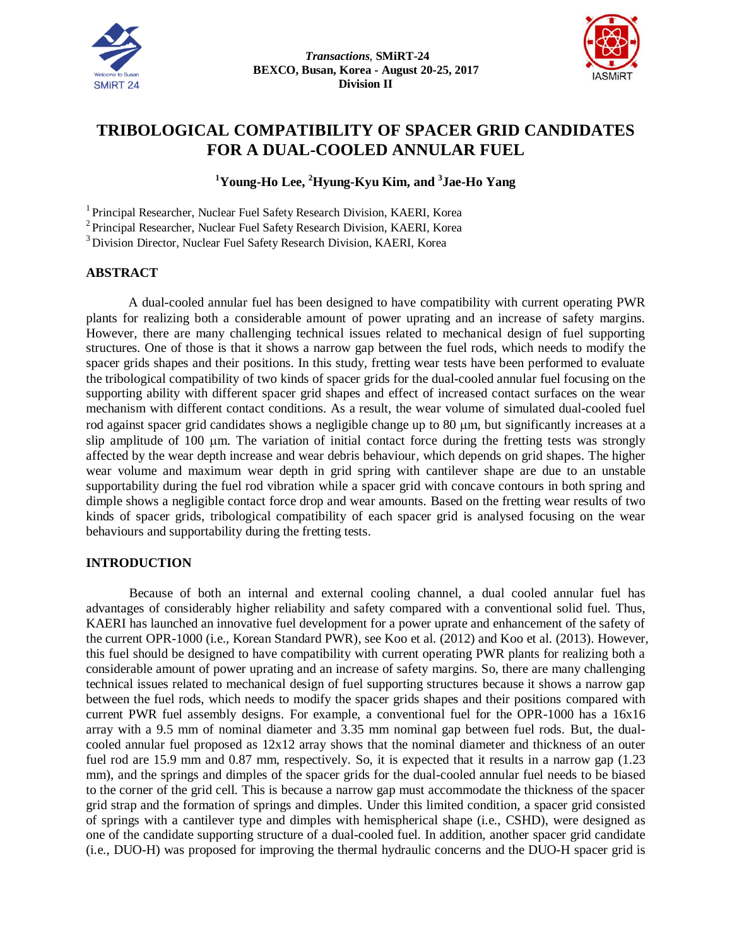



# **TRIBOLOGICAL COMPATIBILITY OF SPACER GRID CANDIDATES FOR A DUAL-COOLED ANNULAR FUEL**

# **<sup>1</sup>Young-Ho Lee, <sup>2</sup>Hyung-Kyu Kim, and <sup>3</sup> Jae-Ho Yang**

<sup>1</sup> Principal Researcher, Nuclear Fuel Safety Research Division, KAERI, Korea

<sup>2</sup> Principal Researcher, Nuclear Fuel Safety Research Division, KAERI, Korea

<sup>3</sup> Division Director, Nuclear Fuel Safety Research Division, KAERI, Korea

### **ABSTRACT**

A dual-cooled annular fuel has been designed to have compatibility with current operating PWR plants for realizing both a considerable amount of power uprating and an increase of safety margins. However, there are many challenging technical issues related to mechanical design of fuel supporting structures. One of those is that it shows a narrow gap between the fuel rods, which needs to modify the spacer grids shapes and their positions. In this study, fretting wear tests have been performed to evaluate the tribological compatibility of two kinds of spacer grids for the dual-cooled annular fuel focusing on the supporting ability with different spacer grid shapes and effect of increased contact surfaces on the wear mechanism with different contact conditions. As a result, the wear volume of simulated dual-cooled fuel rod against spacer grid candidates shows a negligible change up to  $80 \mu m$ , but significantly increases at a slip amplitude of 100  $\mu$ m. The variation of initial contact force during the fretting tests was strongly affected by the wear depth increase and wear debris behaviour, which depends on grid shapes. The higher wear volume and maximum wear depth in grid spring with cantilever shape are due to an unstable supportability during the fuel rod vibration while a spacer grid with concave contours in both spring and dimple shows a negligible contact force drop and wear amounts. Based on the fretting wear results of two kinds of spacer grids, tribological compatibility of each spacer grid is analysed focusing on the wear behaviours and supportability during the fretting tests.

# **INTRODUCTION**

Because of both an internal and external cooling channel, a dual cooled annular fuel has advantages of considerably higher reliability and safety compared with a conventional solid fuel. Thus, KAERI has launched an innovative fuel development for a power uprate and enhancement of the safety of the current OPR-1000 (i.e., Korean Standard PWR), see Koo et al. (2012) and Koo et al. (2013). However, this fuel should be designed to have compatibility with current operating PWR plants for realizing both a considerable amount of power uprating and an increase of safety margins. So, there are many challenging technical issues related to mechanical design of fuel supporting structures because it shows a narrow gap between the fuel rods, which needs to modify the spacer grids shapes and their positions compared with current PWR fuel assembly designs. For example, a conventional fuel for the OPR-1000 has a 16x16 array with a 9.5 mm of nominal diameter and 3.35 mm nominal gap between fuel rods. But, the dualcooled annular fuel proposed as 12x12 array shows that the nominal diameter and thickness of an outer fuel rod are 15.9 mm and 0.87 mm, respectively. So, it is expected that it results in a narrow gap (1.23 mm), and the springs and dimples of the spacer grids for the dual-cooled annular fuel needs to be biased to the corner of the grid cell. This is because a narrow gap must accommodate the thickness of the spacer grid strap and the formation of springs and dimples. Under this limited condition, a spacer grid consisted of springs with a cantilever type and dimples with hemispherical shape (i.e., CSHD), were designed as one of the candidate supporting structure of a dual-cooled fuel. In addition, another spacer grid candidate (i.e., DUO-H) was proposed for improving the thermal hydraulic concerns and the DUO-H spacer grid is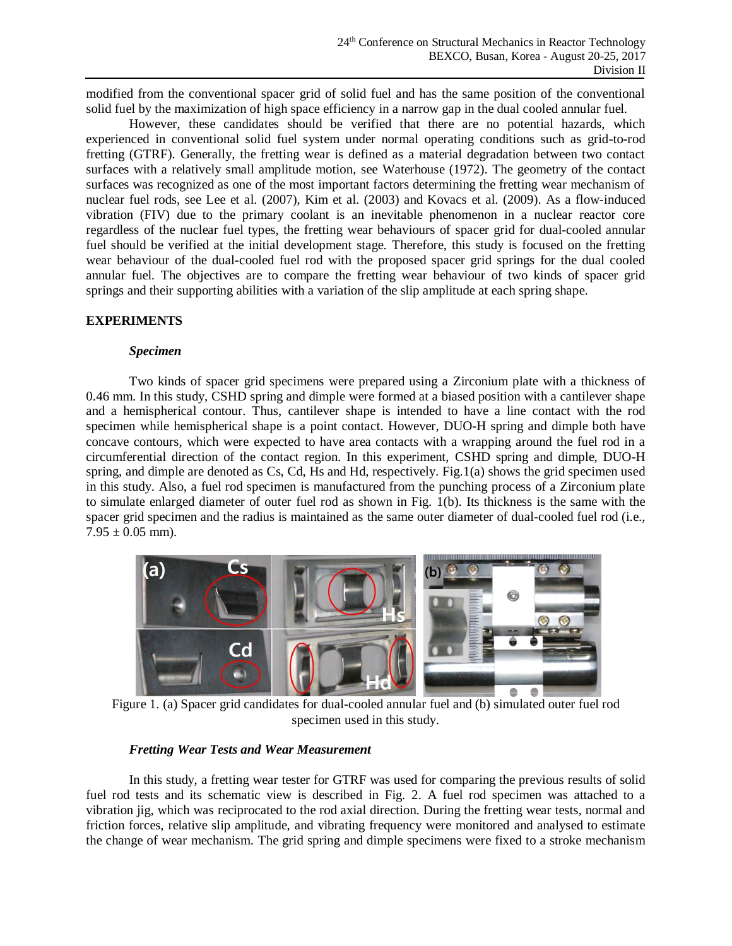modified from the conventional spacer grid of solid fuel and has the same position of the conventional solid fuel by the maximization of high space efficiency in a narrow gap in the dual cooled annular fuel.

However, these candidates should be verified that there are no potential hazards, which experienced in conventional solid fuel system under normal operating conditions such as grid-to-rod fretting (GTRF). Generally, the fretting wear is defined as a material degradation between two contact surfaces with a relatively small amplitude motion, see Waterhouse (1972). The geometry of the contact surfaces was recognized as one of the most important factors determining the fretting wear mechanism of nuclear fuel rods, see Lee et al. (2007), Kim et al. (2003) and Kovacs et al. (2009). As a flow-induced vibration (FIV) due to the primary coolant is an inevitable phenomenon in a nuclear reactor core regardless of the nuclear fuel types, the fretting wear behaviours of spacer grid for dual-cooled annular fuel should be verified at the initial development stage. Therefore, this study is focused on the fretting wear behaviour of the dual-cooled fuel rod with the proposed spacer grid springs for the dual cooled annular fuel. The objectives are to compare the fretting wear behaviour of two kinds of spacer grid springs and their supporting abilities with a variation of the slip amplitude at each spring shape.

# **EXPERIMENTS**

#### *Specimen*

Two kinds of spacer grid specimens were prepared using a Zirconium plate with a thickness of 0.46 mm. In this study, CSHD spring and dimple were formed at a biased position with a cantilever shape and a hemispherical contour. Thus, cantilever shape is intended to have a line contact with the rod specimen while hemispherical shape is a point contact. However, DUO-H spring and dimple both have concave contours, which were expected to have area contacts with a wrapping around the fuel rod in a circumferential direction of the contact region. In this experiment, CSHD spring and dimple, DUO-H spring, and dimple are denoted as Cs, Cd, Hs and Hd, respectively. Fig.1(a) shows the grid specimen used in this study. Also, a fuel rod specimen is manufactured from the punching process of a Zirconium plate to simulate enlarged diameter of outer fuel rod as shown in Fig. 1(b). Its thickness is the same with the spacer grid specimen and the radius is maintained as the same outer diameter of dual-cooled fuel rod (i.e.,  $7.95 \pm 0.05$  mm).



Figure 1. (a) Spacer grid candidates for dual-cooled annular fuel and (b) simulated outer fuel rod specimen used in this study.

#### *Fretting Wear Tests and Wear Measurement*

In this study, a fretting wear tester for GTRF was used for comparing the previous results of solid fuel rod tests and its schematic view is described in Fig. 2. A fuel rod specimen was attached to a vibration jig, which was reciprocated to the rod axial direction. During the fretting wear tests, normal and friction forces, relative slip amplitude, and vibrating frequency were monitored and analysed to estimate the change of wear mechanism. The grid spring and dimple specimens were fixed to a stroke mechanism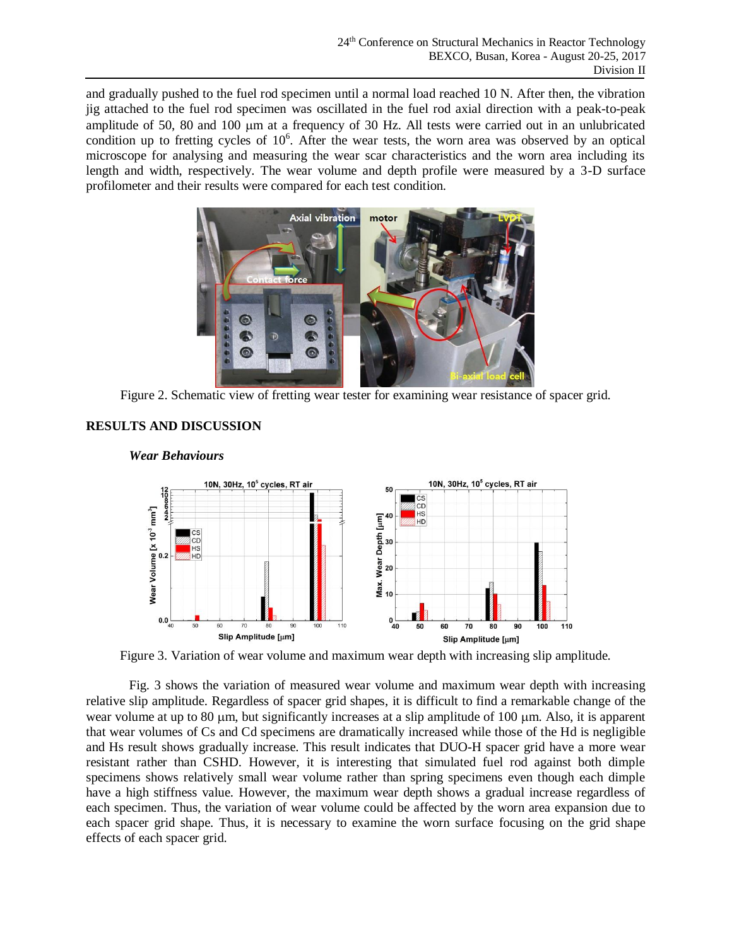and gradually pushed to the fuel rod specimen until a normal load reached 10 N. After then, the vibration jig attached to the fuel rod specimen was oscillated in the fuel rod axial direction with a peak-to-peak amplitude of 50, 80 and 100 m at a frequency of 30 Hz. All tests were carried out in an unlubricated condition up to fretting cycles of  $10<sup>6</sup>$ . After the wear tests, the worn area was observed by an optical microscope for analysing and measuring the wear scar characteristics and the worn area including its length and width, respectively. The wear volume and depth profile were measured by a 3-D surface profilometer and their results were compared for each test condition.



Figure 2. Schematic view of fretting wear tester for examining wear resistance of spacer grid.



# **RESULTS AND DISCUSSION**

Figure 3. Variation of wear volume and maximum wear depth with increasing slip amplitude.

Fig. 3 shows the variation of measured wear volume and maximum wear depth with increasing relative slip amplitude. Regardless of spacer grid shapes, it is difficult to find a remarkable change of the wear volume at up to 80  $\mu$ m, but significantly increases at a slip amplitude of 100  $\mu$ m. Also, it is apparent that wear volumes of Cs and Cd specimens are dramatically increased while those of the Hd is negligible and Hs result shows gradually increase. This result indicates that DUO-H spacer grid have a more wear resistant rather than CSHD. However, it is interesting that simulated fuel rod against both dimple specimens shows relatively small wear volume rather than spring specimens even though each dimple have a high stiffness value. However, the maximum wear depth shows a gradual increase regardless of each specimen. Thus, the variation of wear volume could be affected by the worn area expansion due to each spacer grid shape. Thus, it is necessary to examine the worn surface focusing on the grid shape effects of each spacer grid.

# *Wear Behaviours*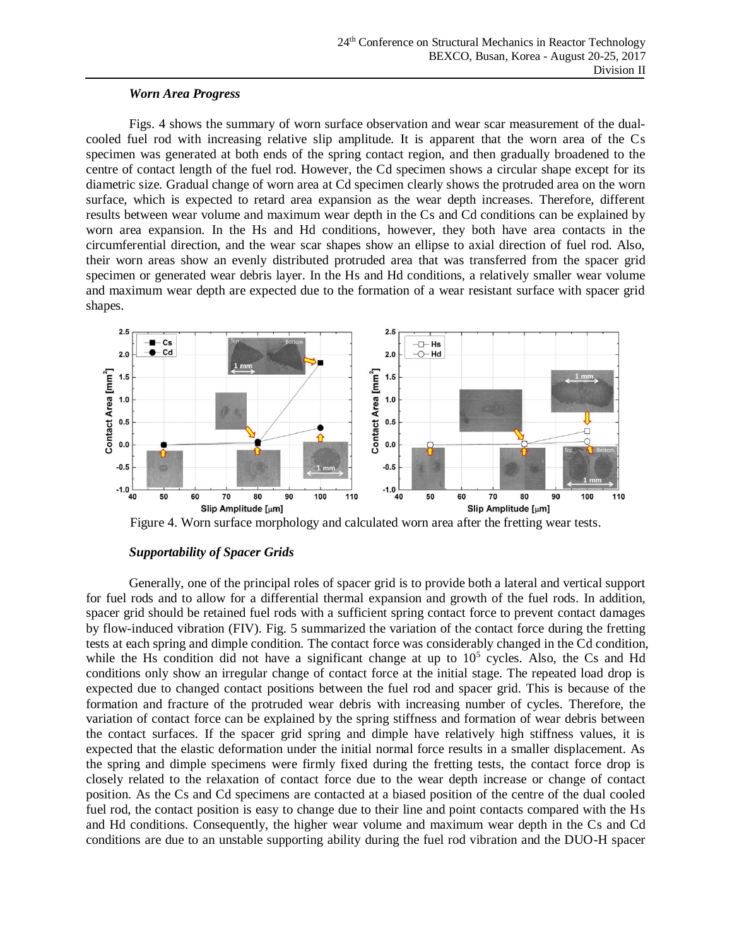### *Worn Area Progress*

Figs. 4 shows the summary of worn surface observation and wear scar measurement of the dualcooled fuel rod with increasing relative slip amplitude. It is apparent that the worn area of the Cs specimen was generated at both ends of the spring contact region, and then gradually broadened to the centre of contact length of the fuel rod. However, the Cd specimen shows a circular shape except for its diametric size. Gradual change of worn area at Cd specimen clearly shows the protruded area on the worn surface, which is expected to retard area expansion as the wear depth increases. Therefore, different results between wear volume and maximum wear depth in the Cs and Cd conditions can be explained by worn area expansion. In the Hs and Hd conditions, however, they both have area contacts in the circumferential direction, and the wear scar shapes show an ellipse to axial direction of fuel rod. Also, their worn areas show an evenly distributed protruded area that was transferred from the spacer grid specimen or generated wear debris layer. In the Hs and Hd conditions, a relatively smaller wear volume and maximum wear depth are expected due to the formation of a wear resistant surface with spacer grid shapes.





# *Supportability of Spacer Grids*

Generally, one of the principal roles of spacer grid is to provide both a lateral and vertical support for fuel rods and to allow for a differential thermal expansion and growth of the fuel rods. In addition, spacer grid should be retained fuel rods with a sufficient spring contact force to prevent contact damages by flow-induced vibration (FIV). Fig. 5 summarized the variation of the contact force during the fretting tests at each spring and dimple condition. The contact force was considerably changed in the Cd condition, while the Hs condition did not have a significant change at up to  $10<sup>5</sup>$  cycles. Also, the Cs and Hd conditions only show an irregular change of contact force at the initial stage. The repeated load drop is expected due to changed contact positions between the fuel rod and spacer grid. This is because of the formation and fracture of the protruded wear debris with increasing number of cycles. Therefore, the variation of contact force can be explained by the spring stiffness and formation of wear debris between the contact surfaces. If the spacer grid spring and dimple have relatively high stiffness values, it is expected that the elastic deformation under the initial normal force results in a smaller displacement. As the spring and dimple specimens were firmly fixed during the fretting tests, the contact force drop is closely related to the relaxation of contact force due to the wear depth increase or change of contact position. As the Cs and Cd specimens are contacted at a biased position of the centre of the dual cooled fuel rod, the contact position is easy to change due to their line and point contacts compared with the Hs and Hd conditions. Consequently, the higher wear volume and maximum wear depth in the Cs and Cd conditions are due to an unstable supporting ability during the fuel rod vibration and the DUO-H spacer